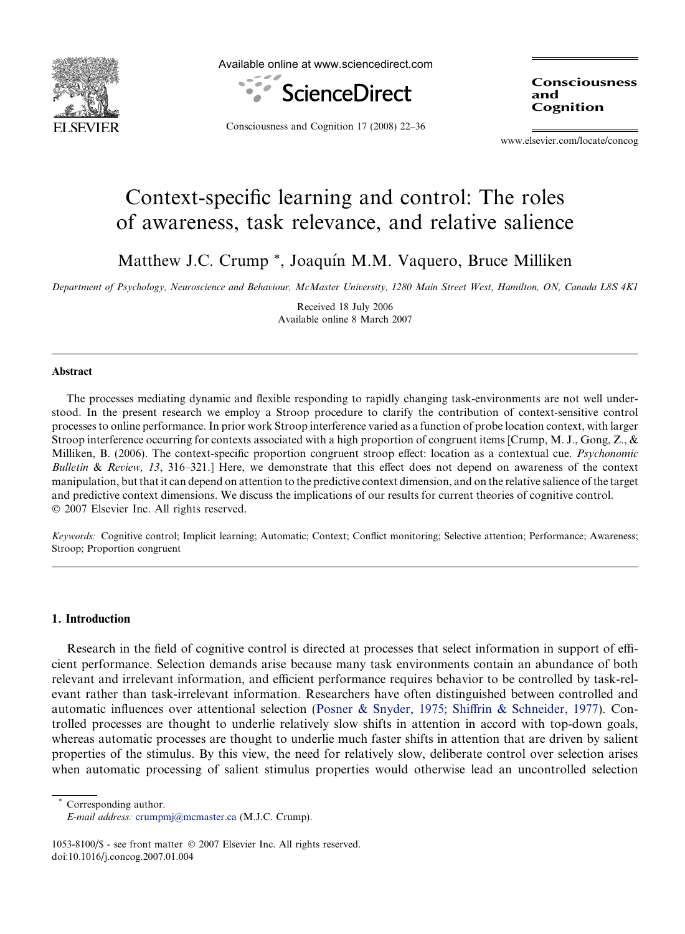

Available online at www.sciencedirect.com



Consciousness and Cognition

Consciousness and Cognition 17 (2008) 22–36

www.elsevier.com/locate/concog

# Context-specific learning and control: The roles of awareness, task relevance, and relative salience

Matthew J.C. Crump<sup>\*</sup>, Joaquín M.M. Vaquero, Bruce Milliken

Department of Psychology, Neuroscience and Behaviour, McMaster University, 1280 Main Street West, Hamilton, ON, Canada L8S 4K1

Received 18 July 2006 Available online 8 March 2007

# Abstract

The processes mediating dynamic and flexible responding to rapidly changing task-environments are not well understood. In the present research we employ a Stroop procedure to clarify the contribution of context-sensitive control processes to online performance. In prior work Stroop interference varied as a function of probe location context, with larger Stroop interference occurring for contexts associated with a high proportion of congruent items [Crump, M. J., Gong, Z., & Milliken, B. (2006). The context-specific proportion congruent stroop effect: location as a contextual cue. *Psychonomic* Bulletin & Review, 13, 316-321.] Here, we demonstrate that this effect does not depend on awareness of the context manipulation, but that it can depend on attention to the predictive context dimension, and on the relative salience of the target and predictive context dimensions. We discuss the implications of our results for current theories of cognitive control.  $© 2007 Elsevier Inc. All rights reserved.$ 

Keywords: Cognitive control; Implicit learning; Automatic; Context; Conflict monitoring; Selective attention; Performance; Awareness; Stroop; Proportion congruent

# 1. Introduction

Research in the field of cognitive control is directed at processes that select information in support of efficient performance. Selection demands arise because many task environments contain an abundance of both relevant and irrelevant information, and efficient performance requires behavior to be controlled by task-relevant rather than task-irrelevant information. Researchers have often distinguished between controlled and automatic influences over attentional selection [\(Posner & Snyder, 1975; Shiffrin & Schneider, 1977\)](#page-14-0). Controlled processes are thought to underlie relatively slow shifts in attention in accord with top-down goals, whereas automatic processes are thought to underlie much faster shifts in attention that are driven by salient properties of the stimulus. By this view, the need for relatively slow, deliberate control over selection arises when automatic processing of salient stimulus properties would otherwise lead an uncontrolled selection

Corresponding author.

E-mail address: [crumpmj@mcmaster.ca](mailto:crumpmj@mcmaster.ca) (M.J.C. Crump).

<sup>1053-8100/\$ -</sup> see front matter  $@$  2007 Elsevier Inc. All rights reserved. doi:10.1016/j.concog.2007.01.004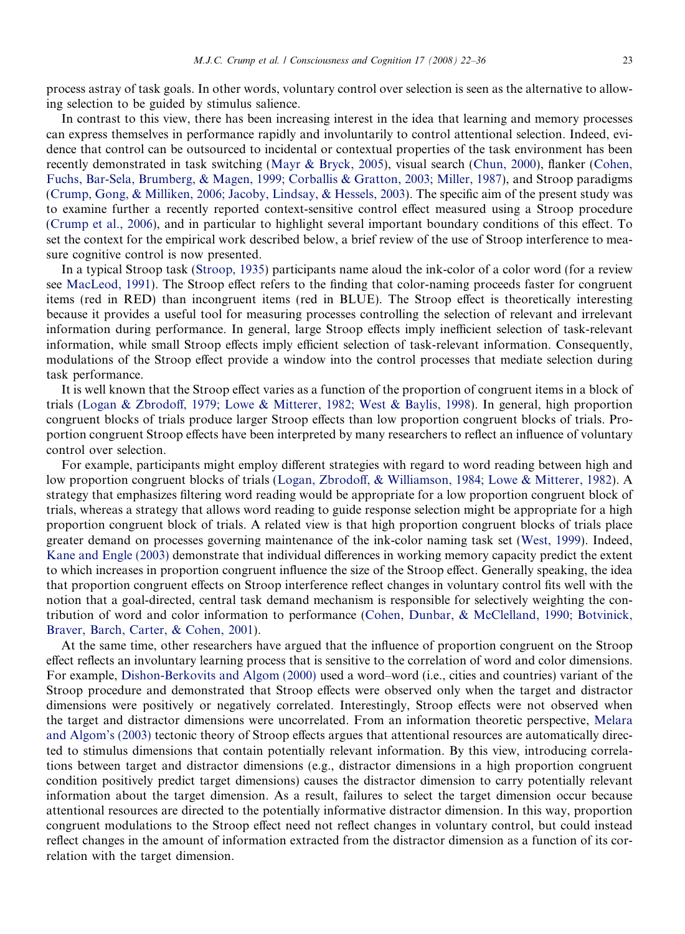process astray of task goals. In other words, voluntary control over selection is seen as the alternative to allowing selection to be guided by stimulus salience.

In contrast to this view, there has been increasing interest in the idea that learning and memory processes can express themselves in performance rapidly and involuntarily to control attentional selection. Indeed, evidence that control can be outsourced to incidental or contextual properties of the task environment has been recently demonstrated in task switching [\(Mayr & Bryck, 2005](#page-14-0)), visual search [\(Chun, 2000](#page-13-0)), flanker [\(Cohen,](#page-13-0) [Fuchs, Bar-Sela, Brumberg, & Magen, 1999; Corballis & Gratton, 2003; Miller, 1987\)](#page-13-0), and Stroop paradigms [\(Crump, Gong, & Milliken, 2006; Jacoby, Lindsay, & Hessels, 2003](#page-13-0)). The specific aim of the present study was to examine further a recently reported context-sensitive control effect measured using a Stroop procedure [\(Crump et al., 2006](#page-13-0)), and in particular to highlight several important boundary conditions of this effect. To set the context for the empirical work described below, a brief review of the use of Stroop interference to measure cognitive control is now presented.

In a typical Stroop task ([Stroop, 1935](#page-14-0)) participants name aloud the ink-color of a color word (for a review see [MacLeod, 1991](#page-13-0)). The Stroop effect refers to the finding that color-naming proceeds faster for congruent items (red in RED) than incongruent items (red in BLUE). The Stroop effect is theoretically interesting because it provides a useful tool for measuring processes controlling the selection of relevant and irrelevant information during performance. In general, large Stroop effects imply inefficient selection of task-relevant information, while small Stroop effects imply efficient selection of task-relevant information. Consequently, modulations of the Stroop effect provide a window into the control processes that mediate selection during task performance.

It is well known that the Stroop effect varies as a function of the proportion of congruent items in a block of trials [\(Logan & Zbrodoff, 1979; Lowe & Mitterer, 1982; West & Baylis, 1998](#page-13-0)). In general, high proportion congruent blocks of trials produce larger Stroop effects than low proportion congruent blocks of trials. Proportion congruent Stroop effects have been interpreted by many researchers to reflect an influence of voluntary control over selection.

For example, participants might employ different strategies with regard to word reading between high and low proportion congruent blocks of trials [\(Logan, Zbrodoff, & Williamson, 1984; Lowe & Mitterer, 1982](#page-13-0)). A strategy that emphasizes filtering word reading would be appropriate for a low proportion congruent block of trials, whereas a strategy that allows word reading to guide response selection might be appropriate for a high proportion congruent block of trials. A related view is that high proportion congruent blocks of trials place greater demand on processes governing maintenance of the ink-color naming task set [\(West, 1999\)](#page-14-0). Indeed, [Kane and Engle \(2003\)](#page-13-0) demonstrate that individual differences in working memory capacity predict the extent to which increases in proportion congruent influence the size of the Stroop effect. Generally speaking, the idea that proportion congruent effects on Stroop interference reflect changes in voluntary control fits well with the notion that a goal-directed, central task demand mechanism is responsible for selectively weighting the contribution of word and color information to performance [\(Cohen, Dunbar, & McClelland, 1990; Botvinick,](#page-13-0) [Braver, Barch, Carter, & Cohen, 2001\)](#page-13-0).

At the same time, other researchers have argued that the influence of proportion congruent on the Stroop effect reflects an involuntary learning process that is sensitive to the correlation of word and color dimensions. For example, [Dishon-Berkovits and Algom \(2000\)](#page-13-0) used a word–word (i.e., cities and countries) variant of the Stroop procedure and demonstrated that Stroop effects were observed only when the target and distractor dimensions were positively or negatively correlated. Interestingly, Stroop effects were not observed when the target and distractor dimensions were uncorrelated. From an information theoretic perspective, [Melara](#page-14-0) [and Algom's \(2003\)](#page-14-0) tectonic theory of Stroop effects argues that attentional resources are automatically directed to stimulus dimensions that contain potentially relevant information. By this view, introducing correlations between target and distractor dimensions (e.g., distractor dimensions in a high proportion congruent condition positively predict target dimensions) causes the distractor dimension to carry potentially relevant information about the target dimension. As a result, failures to select the target dimension occur because attentional resources are directed to the potentially informative distractor dimension. In this way, proportion congruent modulations to the Stroop effect need not reflect changes in voluntary control, but could instead reflect changes in the amount of information extracted from the distractor dimension as a function of its correlation with the target dimension.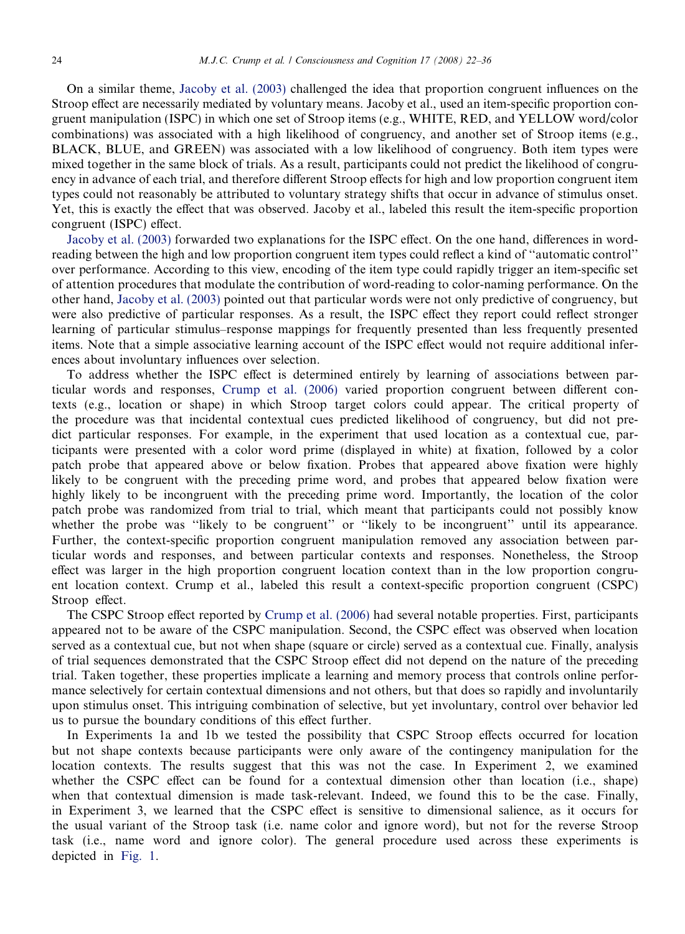On a similar theme, [Jacoby et al. \(2003\)](#page-13-0) challenged the idea that proportion congruent influences on the Stroop effect are necessarily mediated by voluntary means. Jacoby et al., used an item-specific proportion congruent manipulation (ISPC) in which one set of Stroop items (e.g., WHITE, RED, and YELLOW word/color combinations) was associated with a high likelihood of congruency, and another set of Stroop items (e.g., BLACK, BLUE, and GREEN) was associated with a low likelihood of congruency. Both item types were mixed together in the same block of trials. As a result, participants could not predict the likelihood of congruency in advance of each trial, and therefore different Stroop effects for high and low proportion congruent item types could not reasonably be attributed to voluntary strategy shifts that occur in advance of stimulus onset. Yet, this is exactly the effect that was observed. Jacoby et al., labeled this result the item-specific proportion congruent (ISPC) effect.

[Jacoby et al. \(2003\)](#page-13-0) forwarded two explanations for the ISPC effect. On the one hand, differences in wordreading between the high and low proportion congruent item types could reflect a kind of ''automatic control'' over performance. According to this view, encoding of the item type could rapidly trigger an item-specific set of attention procedures that modulate the contribution of word-reading to color-naming performance. On the other hand, [Jacoby et al. \(2003\)](#page-13-0) pointed out that particular words were not only predictive of congruency, but were also predictive of particular responses. As a result, the ISPC effect they report could reflect stronger learning of particular stimulus–response mappings for frequently presented than less frequently presented items. Note that a simple associative learning account of the ISPC effect would not require additional inferences about involuntary influences over selection.

To address whether the ISPC effect is determined entirely by learning of associations between particular words and responses, [Crump et al. \(2006\)](#page-13-0) varied proportion congruent between different contexts (e.g., location or shape) in which Stroop target colors could appear. The critical property of the procedure was that incidental contextual cues predicted likelihood of congruency, but did not predict particular responses. For example, in the experiment that used location as a contextual cue, participants were presented with a color word prime (displayed in white) at fixation, followed by a color patch probe that appeared above or below fixation. Probes that appeared above fixation were highly likely to be congruent with the preceding prime word, and probes that appeared below fixation were highly likely to be incongruent with the preceding prime word. Importantly, the location of the color patch probe was randomized from trial to trial, which meant that participants could not possibly know whether the probe was "likely to be congruent" or "likely to be incongruent" until its appearance. Further, the context-specific proportion congruent manipulation removed any association between particular words and responses, and between particular contexts and responses. Nonetheless, the Stroop effect was larger in the high proportion congruent location context than in the low proportion congruent location context. Crump et al., labeled this result a context-specific proportion congruent (CSPC) Stroop effect.

The CSPC Stroop effect reported by [Crump et al. \(2006\)](#page-13-0) had several notable properties. First, participants appeared not to be aware of the CSPC manipulation. Second, the CSPC effect was observed when location served as a contextual cue, but not when shape (square or circle) served as a contextual cue. Finally, analysis of trial sequences demonstrated that the CSPC Stroop effect did not depend on the nature of the preceding trial. Taken together, these properties implicate a learning and memory process that controls online performance selectively for certain contextual dimensions and not others, but that does so rapidly and involuntarily upon stimulus onset. This intriguing combination of selective, but yet involuntary, control over behavior led us to pursue the boundary conditions of this effect further.

In Experiments 1a and 1b we tested the possibility that CSPC Stroop effects occurred for location but not shape contexts because participants were only aware of the contingency manipulation for the location contexts. The results suggest that this was not the case. In Experiment 2, we examined whether the CSPC effect can be found for a contextual dimension other than location (i.e., shape) when that contextual dimension is made task-relevant. Indeed, we found this to be the case. Finally, in Experiment 3, we learned that the CSPC effect is sensitive to dimensional salience, as it occurs for the usual variant of the Stroop task (i.e. name color and ignore word), but not for the reverse Stroop task (i.e., name word and ignore color). The general procedure used across these experiments is depicted in [Fig. 1.](#page-3-0)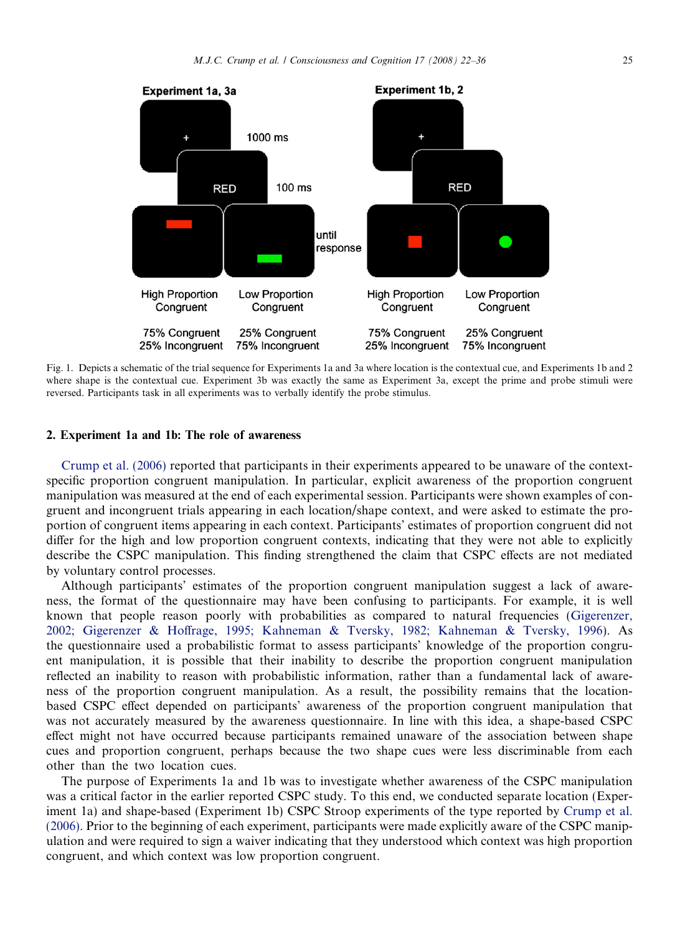



Fig. 1. Depicts a schematic of the trial sequence for Experiments 1a and 3a where location is the contextual cue, and Experiments 1b and 2 where shape is the contextual cue. Experiment 3b was exactly the same as Experiment 3a, except the prime and probe stimuli were reversed. Participants task in all experiments was to verbally identify the probe stimulus.

# 2. Experiment 1a and 1b: The role of awareness

[Crump et al. \(2006\)](#page-13-0) reported that participants in their experiments appeared to be unaware of the contextspecific proportion congruent manipulation. In particular, explicit awareness of the proportion congruent manipulation was measured at the end of each experimental session. Participants were shown examples of congruent and incongruent trials appearing in each location/shape context, and were asked to estimate the proportion of congruent items appearing in each context. Participants' estimates of proportion congruent did not differ for the high and low proportion congruent contexts, indicating that they were not able to explicitly describe the CSPC manipulation. This finding strengthened the claim that CSPC effects are not mediated by voluntary control processes.

Although participants' estimates of the proportion congruent manipulation suggest a lack of awareness, the format of the questionnaire may have been confusing to participants. For example, it is well known that people reason poorly with probabilities as compared to natural frequencies ([Gigerenzer,](#page-13-0) [2002; Gigerenzer & Hoffrage, 1995; Kahneman & Tversky, 1982; Kahneman & Tversky, 1996](#page-13-0)). As the questionnaire used a probabilistic format to assess participants' knowledge of the proportion congruent manipulation, it is possible that their inability to describe the proportion congruent manipulation reflected an inability to reason with probabilistic information, rather than a fundamental lack of awareness of the proportion congruent manipulation. As a result, the possibility remains that the locationbased CSPC effect depended on participants' awareness of the proportion congruent manipulation that was not accurately measured by the awareness questionnaire. In line with this idea, a shape-based CSPC effect might not have occurred because participants remained unaware of the association between shape cues and proportion congruent, perhaps because the two shape cues were less discriminable from each other than the two location cues.

<span id="page-3-0"></span>The purpose of Experiments 1a and 1b was to investigate whether awareness of the CSPC manipulation was a critical factor in the earlier reported CSPC study. To this end, we conducted separate location (Experiment 1a) and shape-based (Experiment 1b) CSPC Stroop experiments of the type reported by [Crump et al.](#page-13-0) [\(2006\)](#page-13-0). Prior to the beginning of each experiment, participants were made explicitly aware of the CSPC manipulation and were required to sign a waiver indicating that they understood which context was high proportion congruent, and which context was low proportion congruent.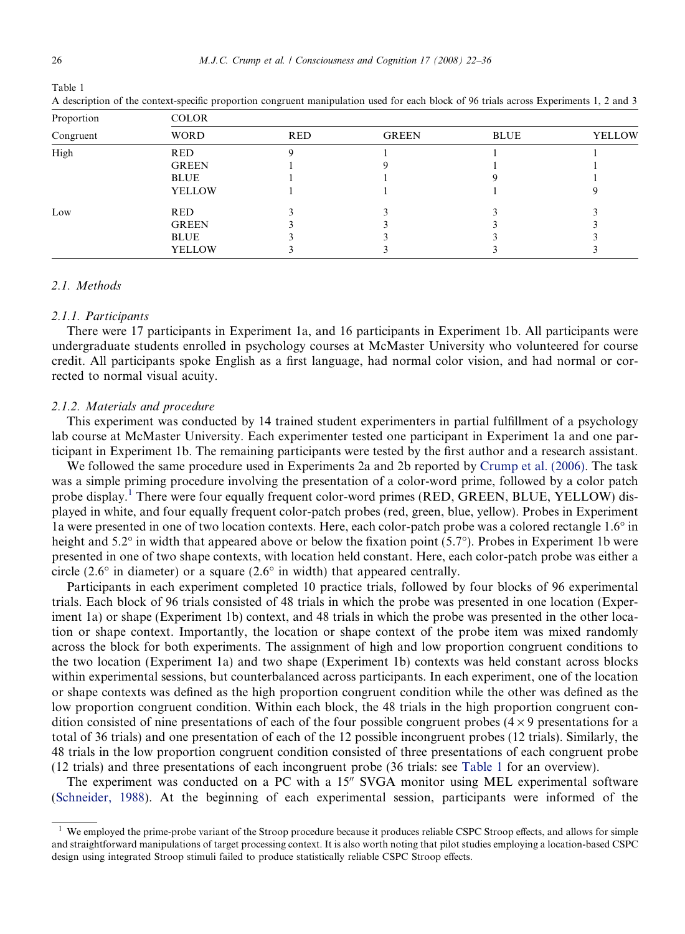| Proportion | <b>COLOR</b>  |            |              |             |               |  |  |
|------------|---------------|------------|--------------|-------------|---------------|--|--|
| Congruent  | <b>WORD</b>   | <b>RED</b> | <b>GREEN</b> | <b>BLUE</b> | <b>YELLOW</b> |  |  |
| High       | <b>RED</b>    |            |              |             |               |  |  |
|            | <b>GREEN</b>  |            |              |             |               |  |  |
|            | <b>BLUE</b>   |            |              |             |               |  |  |
|            | <b>YELLOW</b> |            |              |             |               |  |  |
| Low        | <b>RED</b>    |            |              |             |               |  |  |
|            | <b>GREEN</b>  |            |              |             |               |  |  |
|            | <b>BLUE</b>   |            |              |             |               |  |  |
|            | <b>YELLOW</b> |            |              |             |               |  |  |

A description of the context-specific proportion congruent manipulation used for each block of 96 trials across Experiments 1, 2 and 3

# 2.1. Methods

#### 2.1.1. Participants

There were 17 participants in Experiment 1a, and 16 participants in Experiment 1b. All participants were undergraduate students enrolled in psychology courses at McMaster University who volunteered for course credit. All participants spoke English as a first language, had normal color vision, and had normal or corrected to normal visual acuity.

# 2.1.2. Materials and procedure

This experiment was conducted by 14 trained student experimenters in partial fulfillment of a psychology lab course at McMaster University. Each experimenter tested one participant in Experiment 1a and one participant in Experiment 1b. The remaining participants were tested by the first author and a research assistant.

We followed the same procedure used in Experiments 2a and 2b reported by [Crump et al. \(2006\).](#page-13-0) The task was a simple priming procedure involving the presentation of a color-word prime, followed by a color patch probe display.<sup>[1](#page-4-0)</sup> There were four equally frequent color-word primes (RED, GREEN, BLUE, YELLOW) displayed in white, and four equally frequent color-patch probes (red, green, blue, yellow). Probes in Experiment 1a were presented in one of two location contexts. Here, each color-patch probe was a colored rectangle 1.6" in height and 5.2 $\degree$  in width that appeared above or below the fixation point (5.7 $\degree$ ). Probes in Experiment 1b were presented in one of two shape contexts, with location held constant. Here, each color-patch probe was either a circle (2.6 $\degree$  in diameter) or a square (2.6 $\degree$  in width) that appeared centrally.

Participants in each experiment completed 10 practice trials, followed by four blocks of 96 experimental trials. Each block of 96 trials consisted of 48 trials in which the probe was presented in one location (Experiment 1a) or shape (Experiment 1b) context, and 48 trials in which the probe was presented in the other location or shape context. Importantly, the location or shape context of the probe item was mixed randomly across the block for both experiments. The assignment of high and low proportion congruent conditions to the two location (Experiment 1a) and two shape (Experiment 1b) contexts was held constant across blocks within experimental sessions, but counterbalanced across participants. In each experiment, one of the location or shape contexts was defined as the high proportion congruent condition while the other was defined as the low proportion congruent condition. Within each block, the 48 trials in the high proportion congruent condition consisted of nine presentations of each of the four possible congruent probes  $(4 \times 9)$  presentations for a total of 36 trials) and one presentation of each of the 12 possible incongruent probes (12 trials). Similarly, the 48 trials in the low proportion congruent condition consisted of three presentations of each congruent probe (12 trials) and three presentations of each incongruent probe (36 trials: see [Table 1](#page-4-0) for an overview).

The experiment was conducted on a PC with a  $15^{\prime\prime}$  SVGA monitor using MEL experimental software ([Schneider, 1988](#page-14-0)). At the beginning of each experimental session, participants were informed of the

Table 1

<span id="page-4-0"></span><sup>&</sup>lt;sup>1</sup> We employed the prime-probe variant of the Stroop procedure because it produces reliable CSPC Stroop effects, and allows for simple and straightforward manipulations of target processing context. It is also worth noting that pilot studies employing a location-based CSPC design using integrated Stroop stimuli failed to produce statistically reliable CSPC Stroop effects.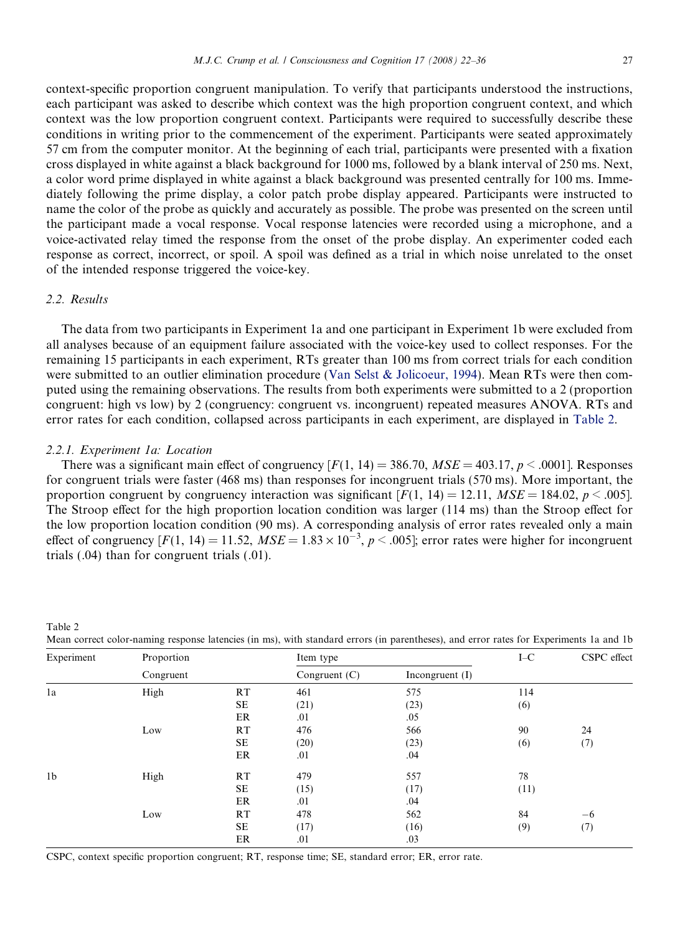context-specific proportion congruent manipulation. To verify that participants understood the instructions, each participant was asked to describe which context was the high proportion congruent context, and which context was the low proportion congruent context. Participants were required to successfully describe these conditions in writing prior to the commencement of the experiment. Participants were seated approximately 57 cm from the computer monitor. At the beginning of each trial, participants were presented with a fixation cross displayed in white against a black background for 1000 ms, followed by a blank interval of 250 ms. Next, a color word prime displayed in white against a black background was presented centrally for 100 ms. Immediately following the prime display, a color patch probe display appeared. Participants were instructed to name the color of the probe as quickly and accurately as possible. The probe was presented on the screen until the participant made a vocal response. Vocal response latencies were recorded using a microphone, and a voice-activated relay timed the response from the onset of the probe display. An experimenter coded each response as correct, incorrect, or spoil. A spoil was defined as a trial in which noise unrelated to the onset of the intended response triggered the voice-key.

# 2.2. Results

Table 2

The data from two participants in Experiment 1a and one participant in Experiment 1b were excluded from all analyses because of an equipment failure associated with the voice-key used to collect responses. For the remaining 15 participants in each experiment, RTs greater than 100 ms from correct trials for each condition were submitted to an outlier elimination procedure [\(Van Selst & Jolicoeur, 1994\)](#page-14-0). Mean RTs were then computed using the remaining observations. The results from both experiments were submitted to a 2 (proportion congruent: high vs low) by 2 (congruency: congruent vs. incongruent) repeated measures ANOVA. RTs and error rates for each condition, collapsed across participants in each experiment, are displayed in [Table 2](#page-5-0).

### 2.2.1. Experiment 1a: Location

There was a significant main effect of congruency  $[F(1, 14) = 386.70$ ,  $MSE = 403.17$ ,  $p < .0001$ . Responses for congruent trials were faster (468 ms) than responses for incongruent trials (570 ms). More important, the proportion congruent by congruency interaction was significant  $[F(1, 14) = 12.11, MSE = 184.02, p < .005]$ . The Stroop effect for the high proportion location condition was larger (114 ms) than the Stroop effect for the low proportion location condition (90 ms). A corresponding analysis of error rates revealed only a main effect of congruency  $[F(1, 14) = 11.52, MSE = 1.83 \times 10^{-3}, p < .005]$ ; error rates were higher for incongruent trials (.04) than for congruent trials (.01).

| Experiment     | Proportion |           | Item type       | $I-C$             | CSPC effect |      |
|----------------|------------|-----------|-----------------|-------------------|-------------|------|
|                | Congruent  |           | Congruent $(C)$ | Incongruent $(I)$ |             |      |
| 1a             | High       | RT        | 461             | 575               | 114         |      |
|                |            | SE        | (21)            | (23)              | (6)         |      |
|                |            | ER        | .01             | .05               |             |      |
|                | Low        | RT        | 476             | 566               | 90          | 24   |
|                |            | SE        | (20)            | (23)              | (6)         | (7)  |
|                |            | ER        | .01             | .04               |             |      |
| 1 <sub>b</sub> | High       | <b>RT</b> | 479             | 557               | 78          |      |
|                |            | SE        | (15)            | (17)              | (11)        |      |
|                |            | ER        | .01             | .04               |             |      |
|                | Low        | RT        | 478             | 562               | 84          | $-6$ |
|                |            | SE        | (17)            | (16)              | (9)         | (7)  |
|                |            | ER        | .01             | .03               |             |      |

Mean correct color-naming response latencies (in ms), with standard errors (in parentheses), and error rates for Experiments 1a and 1b

<span id="page-5-0"></span>CSPC, context specific proportion congruent; RT, response time; SE, standard error; ER, error rate.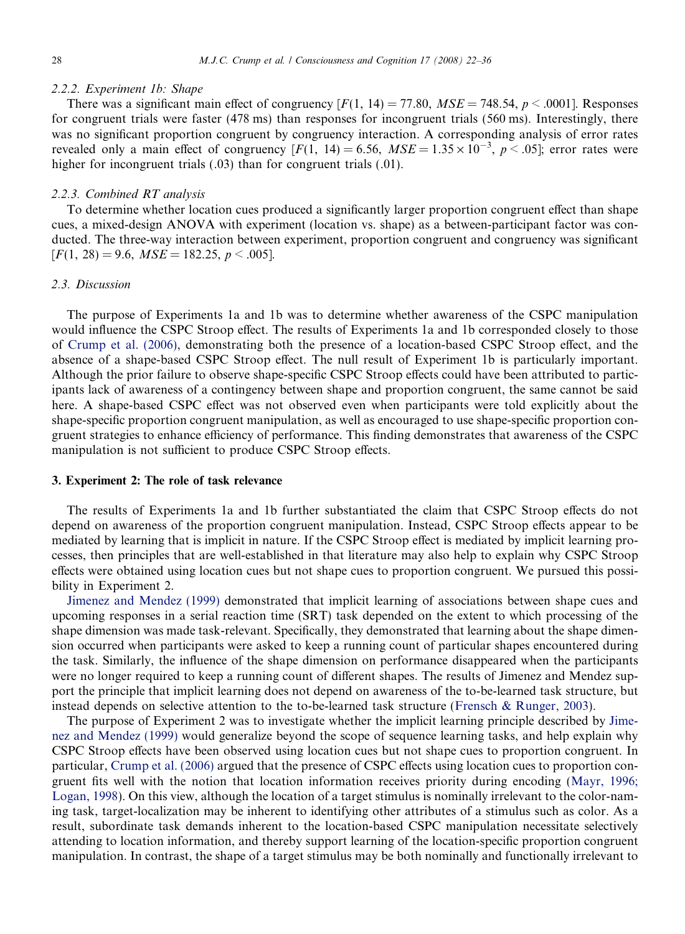#### 2.2.2. Experiment 1b: Shape

There was a significant main effect of congruency  $[F(1, 14) = 77.80$ ,  $MSE = 748.54$ ,  $p < .0001$ . Responses for congruent trials were faster (478 ms) than responses for incongruent trials (560 ms). Interestingly, there was no significant proportion congruent by congruency interaction. A corresponding analysis of error rates revealed only a main effect of congruency  $[F(1, 14) = 6.56, MSE = 1.35 \times 10^{-3}, p < .05]$ ; error rates were higher for incongruent trials (.03) than for congruent trials (.01).

# 2.2.3. Combined RT analysis

To determine whether location cues produced a significantly larger proportion congruent effect than shape cues, a mixed-design ANOVA with experiment (location vs. shape) as a between-participant factor was conducted. The three-way interaction between experiment, proportion congruent and congruency was significant  $[F(1, 28) = 9.6, MSE = 182.25, p < .005].$ 

# 2.3. Discussion

The purpose of Experiments 1a and 1b was to determine whether awareness of the CSPC manipulation would influence the CSPC Stroop effect. The results of Experiments 1a and 1b corresponded closely to those of [Crump et al. \(2006\),](#page-13-0) demonstrating both the presence of a location-based CSPC Stroop effect, and the absence of a shape-based CSPC Stroop effect. The null result of Experiment 1b is particularly important. Although the prior failure to observe shape-specific CSPC Stroop effects could have been attributed to participants lack of awareness of a contingency between shape and proportion congruent, the same cannot be said here. A shape-based CSPC effect was not observed even when participants were told explicitly about the shape-specific proportion congruent manipulation, as well as encouraged to use shape-specific proportion congruent strategies to enhance efficiency of performance. This finding demonstrates that awareness of the CSPC manipulation is not sufficient to produce CSPC Stroop effects.

# 3. Experiment 2: The role of task relevance

The results of Experiments 1a and 1b further substantiated the claim that CSPC Stroop effects do not depend on awareness of the proportion congruent manipulation. Instead, CSPC Stroop effects appear to be mediated by learning that is implicit in nature. If the CSPC Stroop effect is mediated by implicit learning processes, then principles that are well-established in that literature may also help to explain why CSPC Stroop effects were obtained using location cues but not shape cues to proportion congruent. We pursued this possibility in Experiment 2.

[Jimenez and Mendez \(1999\)](#page-13-0) demonstrated that implicit learning of associations between shape cues and upcoming responses in a serial reaction time (SRT) task depended on the extent to which processing of the shape dimension was made task-relevant. Specifically, they demonstrated that learning about the shape dimension occurred when participants were asked to keep a running count of particular shapes encountered during the task. Similarly, the influence of the shape dimension on performance disappeared when the participants were no longer required to keep a running count of different shapes. The results of Jimenez and Mendez support the principle that implicit learning does not depend on awareness of the to-be-learned task structure, but instead depends on selective attention to the to-be-learned task structure ([Frensch & Runger, 2003\)](#page-13-0).

The purpose of Experiment 2 was to investigate whether the implicit learning principle described by [Jime](#page-13-0)[nez and Mendez \(1999\)](#page-13-0) would generalize beyond the scope of sequence learning tasks, and help explain why CSPC Stroop effects have been observed using location cues but not shape cues to proportion congruent. In particular, [Crump et al. \(2006\)](#page-13-0) argued that the presence of CSPC effects using location cues to proportion congruent fits well with the notion that location information receives priority during encoding ([Mayr, 1996;](#page-14-0) [Logan, 1998\)](#page-14-0). On this view, although the location of a target stimulus is nominally irrelevant to the color-naming task, target-localization may be inherent to identifying other attributes of a stimulus such as color. As a result, subordinate task demands inherent to the location-based CSPC manipulation necessitate selectively attending to location information, and thereby support learning of the location-specific proportion congruent manipulation. In contrast, the shape of a target stimulus may be both nominally and functionally irrelevant to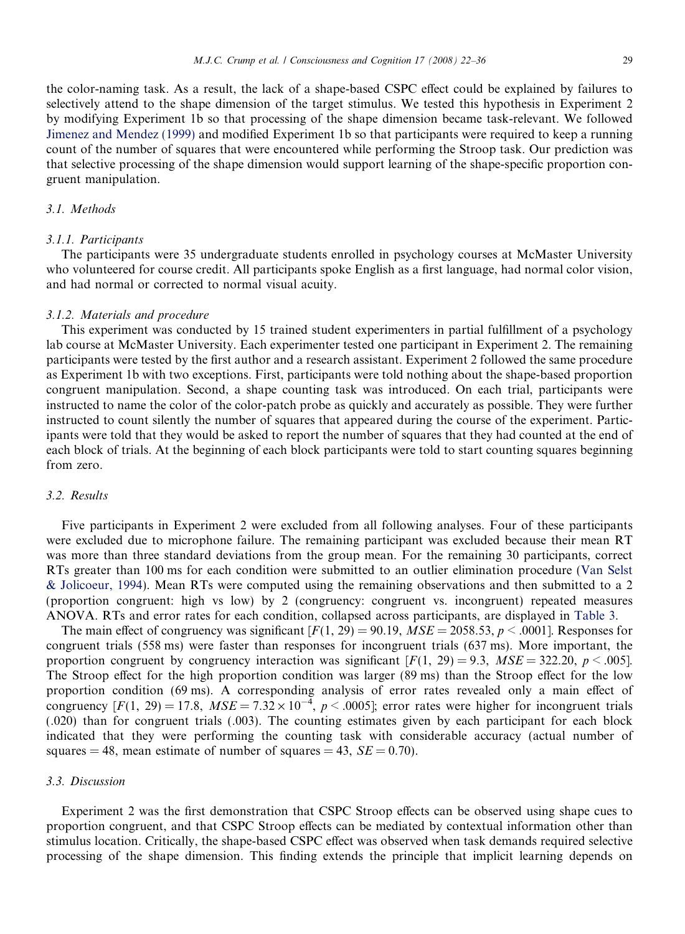the color-naming task. As a result, the lack of a shape-based CSPC effect could be explained by failures to selectively attend to the shape dimension of the target stimulus. We tested this hypothesis in Experiment 2 by modifying Experiment 1b so that processing of the shape dimension became task-relevant. We followed [Jimenez and Mendez \(1999\)](#page-13-0) and modified Experiment 1b so that participants were required to keep a running count of the number of squares that were encountered while performing the Stroop task. Our prediction was that selective processing of the shape dimension would support learning of the shape-specific proportion congruent manipulation.

# 3.1. Methods

#### 3.1.1. Participants

The participants were 35 undergraduate students enrolled in psychology courses at McMaster University who volunteered for course credit. All participants spoke English as a first language, had normal color vision, and had normal or corrected to normal visual acuity.

# 3.1.2. Materials and procedure

This experiment was conducted by 15 trained student experimenters in partial fulfillment of a psychology lab course at McMaster University. Each experimenter tested one participant in Experiment 2. The remaining participants were tested by the first author and a research assistant. Experiment 2 followed the same procedure as Experiment 1b with two exceptions. First, participants were told nothing about the shape-based proportion congruent manipulation. Second, a shape counting task was introduced. On each trial, participants were instructed to name the color of the color-patch probe as quickly and accurately as possible. They were further instructed to count silently the number of squares that appeared during the course of the experiment. Participants were told that they would be asked to report the number of squares that they had counted at the end of each block of trials. At the beginning of each block participants were told to start counting squares beginning from zero.

# 3.2. Results

Five participants in Experiment 2 were excluded from all following analyses. Four of these participants were excluded due to microphone failure. The remaining participant was excluded because their mean RT was more than three standard deviations from the group mean. For the remaining 30 participants, correct RTs greater than 100 ms for each condition were submitted to an outlier elimination procedure ([Van Selst](#page-14-0) [& Jolicoeur, 1994](#page-14-0)). Mean RTs were computed using the remaining observations and then submitted to a 2 (proportion congruent: high vs low) by 2 (congruency: congruent vs. incongruent) repeated measures ANOVA. RTs and error rates for each condition, collapsed across participants, are displayed in [Table 3](#page-8-0).

The main effect of congruency was significant  $[F(1, 29) = 90.19, MSE = 2058.53, p < .0001$ . Responses for congruent trials (558 ms) were faster than responses for incongruent trials (637 ms). More important, the proportion congruent by congruency interaction was significant  $[F(1, 29) = 9.3, MSE = 322.20, p < .005]$ . The Stroop effect for the high proportion condition was larger (89 ms) than the Stroop effect for the low proportion condition (69 ms). A corresponding analysis of error rates revealed only a main effect of congruency  $[F(1, 29) = 17.8, MSE = 7.32 \times 10^{-4}, p < .0005]$ ; error rates were higher for incongruent trials (.020) than for congruent trials (.003). The counting estimates given by each participant for each block indicated that they were performing the counting task with considerable accuracy (actual number of squares = 48, mean estimate of number of squares = 43,  $SE = 0.70$ .

#### 3.3. Discussion

Experiment 2 was the first demonstration that CSPC Stroop effects can be observed using shape cues to proportion congruent, and that CSPC Stroop effects can be mediated by contextual information other than stimulus location. Critically, the shape-based CSPC effect was observed when task demands required selective processing of the shape dimension. This finding extends the principle that implicit learning depends on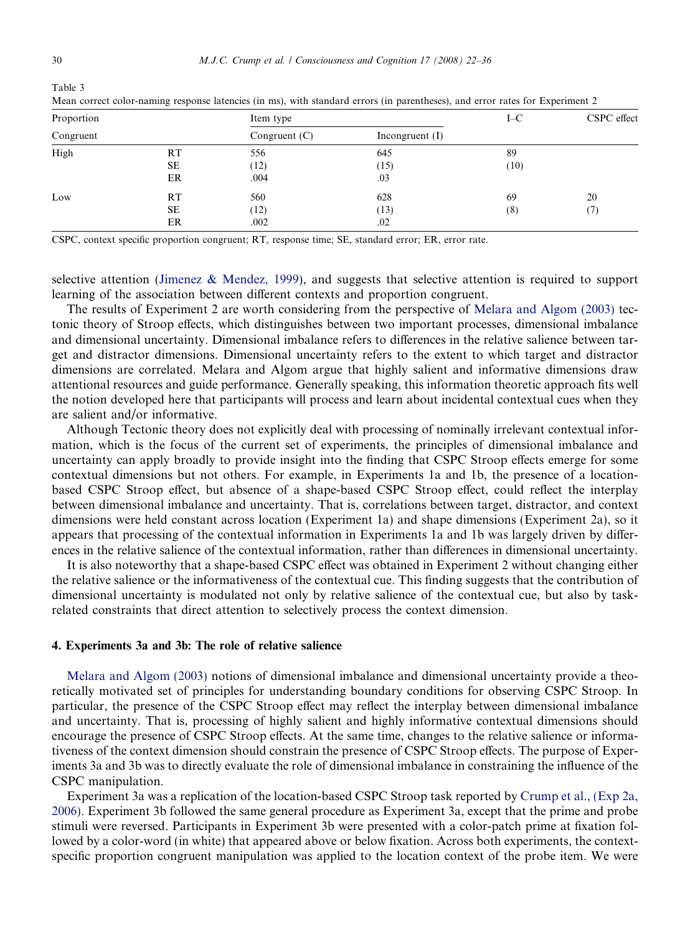Table 3

| Proportion<br>Congruent |    | Item type       |                   | $I-C$ | CSPC effect |  |
|-------------------------|----|-----------------|-------------------|-------|-------------|--|
|                         |    | Congruent $(C)$ | Incongruent $(I)$ |       |             |  |
| High                    | RT | 556             | 645               | 89    |             |  |
|                         | SE | (12)            | (15)              | (10)  |             |  |
|                         | ER | .004            | .03               |       |             |  |
| Low                     | RT | 560             | 628               | 69    | 20          |  |
|                         | SE | (12)            | (13)              | (8)   | (7)         |  |
|                         | ER | .002            | .02               |       |             |  |

Mean correct color-naming response latencies (in ms), with standard errors (in parentheses), and error rates for Experiment 2

CSPC, context specific proportion congruent; RT, response time; SE, standard error; ER, error rate.

selective attention ([Jimenez & Mendez, 1999\)](#page-13-0), and suggests that selective attention is required to support learning of the association between different contexts and proportion congruent.

The results of Experiment 2 are worth considering from the perspective of [Melara and Algom \(2003\)](#page-14-0) tectonic theory of Stroop effects, which distinguishes between two important processes, dimensional imbalance and dimensional uncertainty. Dimensional imbalance refers to differences in the relative salience between target and distractor dimensions. Dimensional uncertainty refers to the extent to which target and distractor dimensions are correlated. Melara and Algom argue that highly salient and informative dimensions draw attentional resources and guide performance. Generally speaking, this information theoretic approach fits well the notion developed here that participants will process and learn about incidental contextual cues when they are salient and/or informative.

Although Tectonic theory does not explicitly deal with processing of nominally irrelevant contextual information, which is the focus of the current set of experiments, the principles of dimensional imbalance and uncertainty can apply broadly to provide insight into the finding that CSPC Stroop effects emerge for some contextual dimensions but not others. For example, in Experiments 1a and 1b, the presence of a locationbased CSPC Stroop effect, but absence of a shape-based CSPC Stroop effect, could reflect the interplay between dimensional imbalance and uncertainty. That is, correlations between target, distractor, and context dimensions were held constant across location (Experiment 1a) and shape dimensions (Experiment 2a), so it appears that processing of the contextual information in Experiments 1a and 1b was largely driven by differences in the relative salience of the contextual information, rather than differences in dimensional uncertainty.

It is also noteworthy that a shape-based CSPC effect was obtained in Experiment 2 without changing either the relative salience or the informativeness of the contextual cue. This finding suggests that the contribution of dimensional uncertainty is modulated not only by relative salience of the contextual cue, but also by taskrelated constraints that direct attention to selectively process the context dimension.

#### 4. Experiments 3a and 3b: The role of relative salience

[Melara and Algom \(2003\)](#page-14-0) notions of dimensional imbalance and dimensional uncertainty provide a theoretically motivated set of principles for understanding boundary conditions for observing CSPC Stroop. In particular, the presence of the CSPC Stroop effect may reflect the interplay between dimensional imbalance and uncertainty. That is, processing of highly salient and highly informative contextual dimensions should encourage the presence of CSPC Stroop effects. At the same time, changes to the relative salience or informativeness of the context dimension should constrain the presence of CSPC Stroop effects. The purpose of Experiments 3a and 3b was to directly evaluate the role of dimensional imbalance in constraining the influence of the CSPC manipulation.

<span id="page-8-0"></span>Experiment 3a was a replication of the location-based CSPC Stroop task reported by [Crump et al., \(Exp 2a,](#page-13-0) [2006\)](#page-13-0). Experiment 3b followed the same general procedure as Experiment 3a, except that the prime and probe stimuli were reversed. Participants in Experiment 3b were presented with a color-patch prime at fixation followed by a color-word (in white) that appeared above or below fixation. Across both experiments, the contextspecific proportion congruent manipulation was applied to the location context of the probe item. We were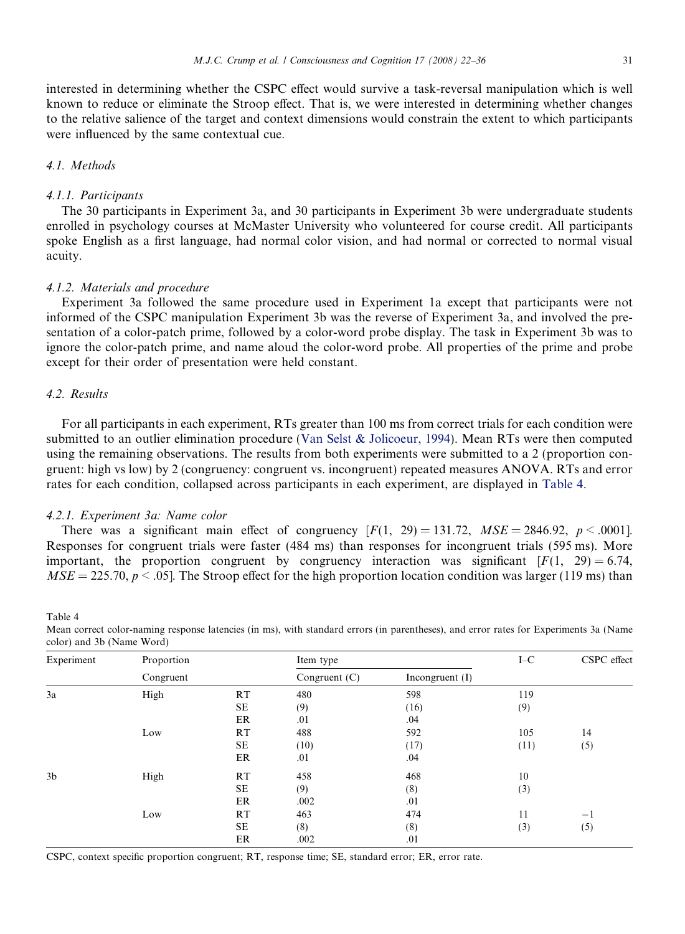interested in determining whether the CSPC effect would survive a task-reversal manipulation which is well known to reduce or eliminate the Stroop effect. That is, we were interested in determining whether changes to the relative salience of the target and context dimensions would constrain the extent to which participants were influenced by the same contextual cue.

# 4.1. Methods

#### 4.1.1. Participants

The 30 participants in Experiment 3a, and 30 participants in Experiment 3b were undergraduate students enrolled in psychology courses at McMaster University who volunteered for course credit. All participants spoke English as a first language, had normal color vision, and had normal or corrected to normal visual acuity.

# 4.1.2. Materials and procedure

Experiment 3a followed the same procedure used in Experiment 1a except that participants were not informed of the CSPC manipulation Experiment 3b was the reverse of Experiment 3a, and involved the presentation of a color-patch prime, followed by a color-word probe display. The task in Experiment 3b was to ignore the color-patch prime, and name aloud the color-word probe. All properties of the prime and probe except for their order of presentation were held constant.

# 4.2. Results

Table 4

For all participants in each experiment, RTs greater than 100 ms from correct trials for each condition were submitted to an outlier elimination procedure [\(Van Selst & Jolicoeur, 1994](#page-14-0)). Mean RTs were then computed using the remaining observations. The results from both experiments were submitted to a 2 (proportion congruent: high vs low) by 2 (congruency: congruent vs. incongruent) repeated measures ANOVA. RTs and error rates for each condition, collapsed across participants in each experiment, are displayed in [Table 4.](#page-9-0)

#### 4.2.1. Experiment 3a: Name color

There was a significant main effect of congruency  $[F(1, 29) = 131.72, MSE = 2846.92, p < .0001]$ . Responses for congruent trials were faster (484 ms) than responses for incongruent trials (595 ms). More important, the proportion congruent by congruency interaction was significant  $[F(1, 29) = 6.74$ ,  $MSE = 225.70, p \le 0.05$ . The Stroop effect for the high proportion location condition was larger (119 ms) than

| Experiment     | Proportion<br>Congruent |           | Item type       |                   | $I-C$ | CSPC effect |
|----------------|-------------------------|-----------|-----------------|-------------------|-------|-------------|
|                |                         |           | Congruent $(C)$ | Incongruent $(I)$ |       |             |
| 3a             | High                    | RT        | 480             | 598               | 119   |             |
| 3 <sub>b</sub> |                         | SE        | (9)             | (16)              | (9)   |             |
|                |                         | ER        | .01             | .04               |       |             |
|                | Low                     | <b>RT</b> | 488             | 592               | 105   | 14          |
|                |                         | SE        | (10)            | (17)              | (11)  | (5)         |
|                |                         | ER        | .01             | .04               |       |             |
|                | High                    | RT        | 458             | 468               | 10    |             |
|                |                         | SE        | (9)             | (8)               | (3)   |             |
|                |                         | ER        | .002            | .01               |       |             |
|                | Low                     | <b>RT</b> | 463             | 474               | 11    | $^{-1}$     |
|                |                         | SE        | (8)             | (8)               | (3)   | (5)         |
|                |                         | ER        | .002            | .01               |       |             |

Mean correct color-naming response latencies (in ms), with standard errors (in parentheses), and error rates for Experiments 3a (Name color) and 3b (Name Word)

<span id="page-9-0"></span>CSPC, context specific proportion congruent; RT, response time; SE, standard error; ER, error rate.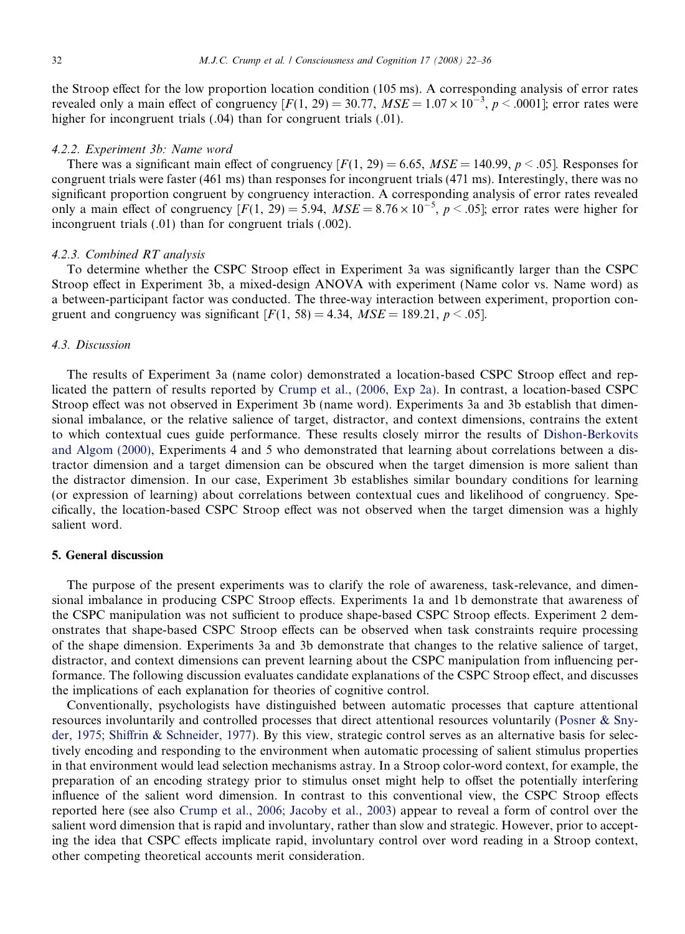the Stroop effect for the low proportion location condition (105 ms). A corresponding analysis of error rates revealed only a main effect of congruency  $[F(1, 29) = 30.77, MSE = 1.07 \times 10^{-3}, p < .0001]$ ; error rates were higher for incongruent trials  $(.04)$  than for congruent trials  $(.01)$ .

#### 4.2.2. Experiment 3b: Name word

There was a significant main effect of congruency  $[F(1, 29) = 6.65$ ,  $MSE = 140.99$ ,  $p < .05$ . Responses for congruent trials were faster (461 ms) than responses for incongruent trials (471 ms). Interestingly, there was no significant proportion congruent by congruency interaction. A corresponding analysis of error rates revealed only a main effect of congruency  $[F(1, 29) = 5.94, MSE = 8.76 \times 10^{-5}, p < .05]$ ; error rates were higher for incongruent trials (.01) than for congruent trials (.002).

#### 4.2.3. Combined RT analysis

To determine whether the CSPC Stroop effect in Experiment 3a was significantly larger than the CSPC Stroop effect in Experiment 3b, a mixed-design ANOVA with experiment (Name color vs. Name word) as a between-participant factor was conducted. The three-way interaction between experiment, proportion congruent and congruency was significant  $[F(1, 58) = 4.34, MSE = 189.21, p < .05]$ .

# 4.3. Discussion

The results of Experiment 3a (name color) demonstrated a location-based CSPC Stroop effect and replicated the pattern of results reported by [Crump et al., \(2006, Exp 2a\).](#page-13-0) In contrast, a location-based CSPC Stroop effect was not observed in Experiment 3b (name word). Experiments 3a and 3b establish that dimensional imbalance, or the relative salience of target, distractor, and context dimensions, contrains the extent to which contextual cues guide performance. These results closely mirror the results of [Dishon-Berkovits](#page-13-0) [and Algom \(2000\)](#page-13-0), Experiments 4 and 5 who demonstrated that learning about correlations between a distractor dimension and a target dimension can be obscured when the target dimension is more salient than the distractor dimension. In our case, Experiment 3b establishes similar boundary conditions for learning (or expression of learning) about correlations between contextual cues and likelihood of congruency. Specifically, the location-based CSPC Stroop effect was not observed when the target dimension was a highly salient word.

# 5. General discussion

The purpose of the present experiments was to clarify the role of awareness, task-relevance, and dimensional imbalance in producing CSPC Stroop effects. Experiments 1a and 1b demonstrate that awareness of the CSPC manipulation was not sufficient to produce shape-based CSPC Stroop effects. Experiment 2 demonstrates that shape-based CSPC Stroop effects can be observed when task constraints require processing of the shape dimension. Experiments 3a and 3b demonstrate that changes to the relative salience of target, distractor, and context dimensions can prevent learning about the CSPC manipulation from influencing performance. The following discussion evaluates candidate explanations of the CSPC Stroop effect, and discusses the implications of each explanation for theories of cognitive control.

Conventionally, psychologists have distinguished between automatic processes that capture attentional resources involuntarily and controlled processes that direct attentional resources voluntarily ([Posner & Sny](#page-14-0)[der, 1975; Shiffrin & Schneider, 1977](#page-14-0)). By this view, strategic control serves as an alternative basis for selectively encoding and responding to the environment when automatic processing of salient stimulus properties in that environment would lead selection mechanisms astray. In a Stroop color-word context, for example, the preparation of an encoding strategy prior to stimulus onset might help to offset the potentially interfering influence of the salient word dimension. In contrast to this conventional view, the CSPC Stroop effects reported here (see also [Crump et al., 2006; Jacoby et al., 2003\)](#page-13-0) appear to reveal a form of control over the salient word dimension that is rapid and involuntary, rather than slow and strategic. However, prior to accepting the idea that CSPC effects implicate rapid, involuntary control over word reading in a Stroop context, other competing theoretical accounts merit consideration.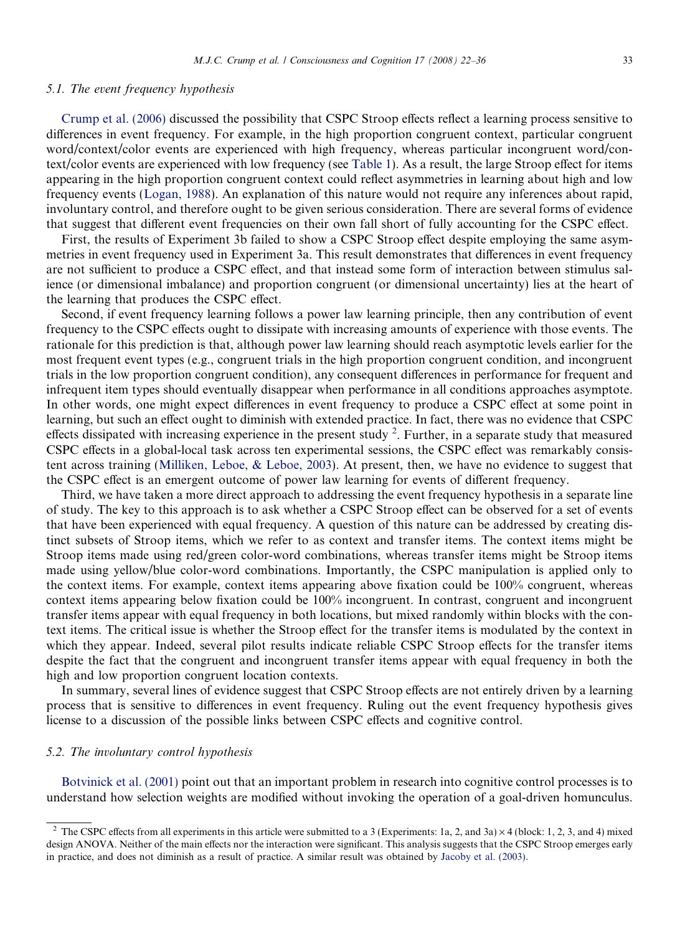#### 5.1. The event frequency hypothesis

[Crump et al. \(2006\)](#page-13-0) discussed the possibility that CSPC Stroop effects reflect a learning process sensitive to differences in event frequency. For example, in the high proportion congruent context, particular congruent word/context/color events are experienced with high frequency, whereas particular incongruent word/context/color events are experienced with low frequency (see [Table 1](#page-4-0)). As a result, the large Stroop effect for items appearing in the high proportion congruent context could reflect asymmetries in learning about high and low frequency events [\(Logan, 1988\)](#page-13-0). An explanation of this nature would not require any inferences about rapid, involuntary control, and therefore ought to be given serious consideration. There are several forms of evidence that suggest that different event frequencies on their own fall short of fully accounting for the CSPC effect.

First, the results of Experiment 3b failed to show a CSPC Stroop effect despite employing the same asymmetries in event frequency used in Experiment 3a. This result demonstrates that differences in event frequency are not sufficient to produce a CSPC effect, and that instead some form of interaction between stimulus salience (or dimensional imbalance) and proportion congruent (or dimensional uncertainty) lies at the heart of the learning that produces the CSPC effect.

Second, if event frequency learning follows a power law learning principle, then any contribution of event frequency to the CSPC effects ought to dissipate with increasing amounts of experience with those events. The rationale for this prediction is that, although power law learning should reach asymptotic levels earlier for the most frequent event types (e.g., congruent trials in the high proportion congruent condition, and incongruent trials in the low proportion congruent condition), any consequent differences in performance for frequent and infrequent item types should eventually disappear when performance in all conditions approaches asymptote. In other words, one might expect differences in event frequency to produce a CSPC effect at some point in learning, but such an effect ought to diminish with extended practice. In fact, there was no evidence that CSPC effects dissipated with increasing experience in the present study  $2$ . Further, in a separate study that measured CSPC effects in a global-local task across ten experimental sessions, the CSPC effect was remarkably consistent across training [\(Milliken, Leboe, & Leboe, 2003\)](#page-14-0). At present, then, we have no evidence to suggest that the CSPC effect is an emergent outcome of power law learning for events of different frequency.

Third, we have taken a more direct approach to addressing the event frequency hypothesis in a separate line of study. The key to this approach is to ask whether a CSPC Stroop effect can be observed for a set of events that have been experienced with equal frequency. A question of this nature can be addressed by creating distinct subsets of Stroop items, which we refer to as context and transfer items. The context items might be Stroop items made using red/green color-word combinations, whereas transfer items might be Stroop items made using yellow/blue color-word combinations. Importantly, the CSPC manipulation is applied only to the context items. For example, context items appearing above fixation could be 100% congruent, whereas context items appearing below fixation could be 100% incongruent. In contrast, congruent and incongruent transfer items appear with equal frequency in both locations, but mixed randomly within blocks with the context items. The critical issue is whether the Stroop effect for the transfer items is modulated by the context in which they appear. Indeed, several pilot results indicate reliable CSPC Stroop effects for the transfer items despite the fact that the congruent and incongruent transfer items appear with equal frequency in both the high and low proportion congruent location contexts.

In summary, several lines of evidence suggest that CSPC Stroop effects are not entirely driven by a learning process that is sensitive to differences in event frequency. Ruling out the event frequency hypothesis gives license to a discussion of the possible links between CSPC effects and cognitive control.

# 5.2. The involuntary control hypothesis

[Botvinick et al. \(2001\)](#page-13-0) point out that an important problem in research into cognitive control processes is to understand how selection weights are modified without invoking the operation of a goal-driven homunculus.

<span id="page-11-0"></span><sup>&</sup>lt;sup>2</sup> The CSPC effects from all experiments in this article were submitted to a 3 (Experiments: 1a, 2, and 3a)  $\times$  4 (block: 1, 2, 3, and 4) mixed design ANOVA. Neither of the main effects nor the interaction were significant. This analysis suggests that the CSPC Stroop emerges early in practice, and does not diminish as a result of practice. A similar result was obtained by [Jacoby et al. \(2003\).](#page-13-0)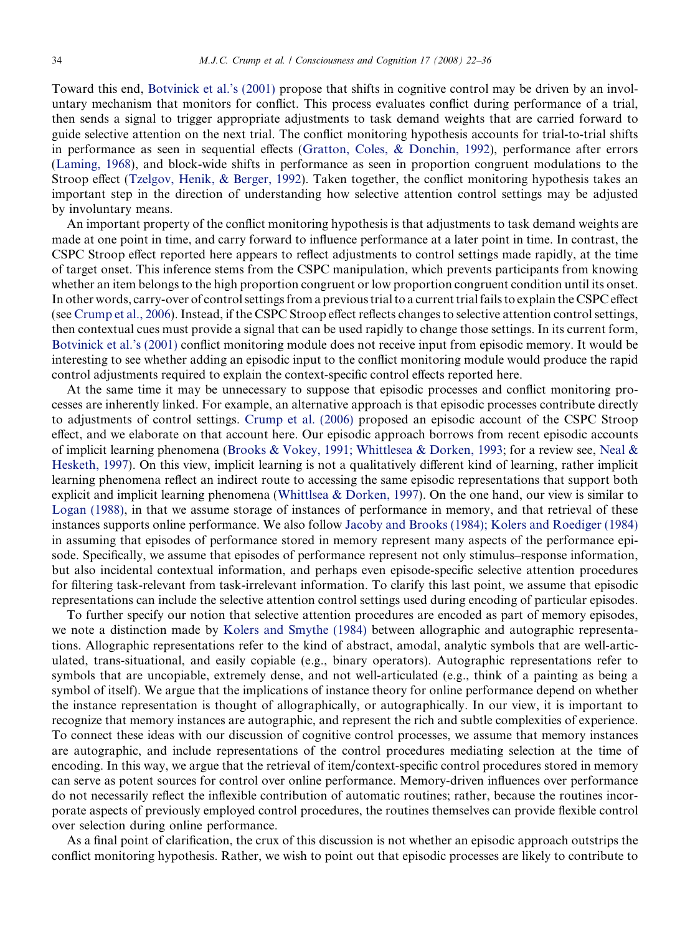Toward this end, [Botvinick et al.'s \(2001\)](#page-13-0) propose that shifts in cognitive control may be driven by an involuntary mechanism that monitors for conflict. This process evaluates conflict during performance of a trial, then sends a signal to trigger appropriate adjustments to task demand weights that are carried forward to guide selective attention on the next trial. The conflict monitoring hypothesis accounts for trial-to-trial shifts in performance as seen in sequential effects ([Gratton, Coles, & Donchin, 1992](#page-13-0)), performance after errors ([Laming, 1968](#page-13-0)), and block-wide shifts in performance as seen in proportion congruent modulations to the Stroop effect [\(Tzelgov, Henik, & Berger, 1992\)](#page-14-0). Taken together, the conflict monitoring hypothesis takes an important step in the direction of understanding how selective attention control settings may be adjusted by involuntary means.

An important property of the conflict monitoring hypothesis is that adjustments to task demand weights are made at one point in time, and carry forward to influence performance at a later point in time. In contrast, the CSPC Stroop effect reported here appears to reflect adjustments to control settings made rapidly, at the time of target onset. This inference stems from the CSPC manipulation, which prevents participants from knowing whether an item belongs to the high proportion congruent or low proportion congruent condition until its onset. In other words, carry-over of control settings from a previous trial to a current trial fails to explain the CSPC effect (see [Crump et al., 2006\)](#page-13-0). Instead, if the CSPC Stroop effect reflects changes to selective attention control settings, then contextual cues must provide a signal that can be used rapidly to change those settings. In its current form, [Botvinick et al.'s \(2001\)](#page-13-0) conflict monitoring module does not receive input from episodic memory. It would be interesting to see whether adding an episodic input to the conflict monitoring module would produce the rapid control adjustments required to explain the context-specific control effects reported here.

At the same time it may be unnecessary to suppose that episodic processes and conflict monitoring processes are inherently linked. For example, an alternative approach is that episodic processes contribute directly to adjustments of control settings. [Crump et al. \(2006\)](#page-13-0) proposed an episodic account of the CSPC Stroop effect, and we elaborate on that account here. Our episodic approach borrows from recent episodic accounts of implicit learning phenomena ([Brooks & Vokey, 1991; Whittlesea & Dorken, 1993;](#page-13-0) for a review see, [Neal &](#page-14-0) [Hesketh, 1997\)](#page-14-0). On this view, implicit learning is not a qualitatively different kind of learning, rather implicit learning phenomena reflect an indirect route to accessing the same episodic representations that support both explicit and implicit learning phenomena ([Whittlsea & Dorken, 1997\)](#page-14-0). On the one hand, our view is similar to [Logan \(1988\),](#page-13-0) in that we assume storage of instances of performance in memory, and that retrieval of these instances supports online performance. We also follow [Jacoby and Brooks \(1984\); Kolers and Roediger \(1984\)](#page-13-0) in assuming that episodes of performance stored in memory represent many aspects of the performance episode. Specifically, we assume that episodes of performance represent not only stimulus–response information, but also incidental contextual information, and perhaps even episode-specific selective attention procedures for filtering task-relevant from task-irrelevant information. To clarify this last point, we assume that episodic representations can include the selective attention control settings used during encoding of particular episodes.

To further specify our notion that selective attention procedures are encoded as part of memory episodes, we note a distinction made by [Kolers and Smythe \(1984\)](#page-13-0) between allographic and autographic representations. Allographic representations refer to the kind of abstract, amodal, analytic symbols that are well-articulated, trans-situational, and easily copiable (e.g., binary operators). Autographic representations refer to symbols that are uncopiable, extremely dense, and not well-articulated (e.g., think of a painting as being a symbol of itself). We argue that the implications of instance theory for online performance depend on whether the instance representation is thought of allographically, or autographically. In our view, it is important to recognize that memory instances are autographic, and represent the rich and subtle complexities of experience. To connect these ideas with our discussion of cognitive control processes, we assume that memory instances are autographic, and include representations of the control procedures mediating selection at the time of encoding. In this way, we argue that the retrieval of item/context-specific control procedures stored in memory can serve as potent sources for control over online performance. Memory-driven influences over performance do not necessarily reflect the inflexible contribution of automatic routines; rather, because the routines incorporate aspects of previously employed control procedures, the routines themselves can provide flexible control over selection during online performance.

As a final point of clarification, the crux of this discussion is not whether an episodic approach outstrips the conflict monitoring hypothesis. Rather, we wish to point out that episodic processes are likely to contribute to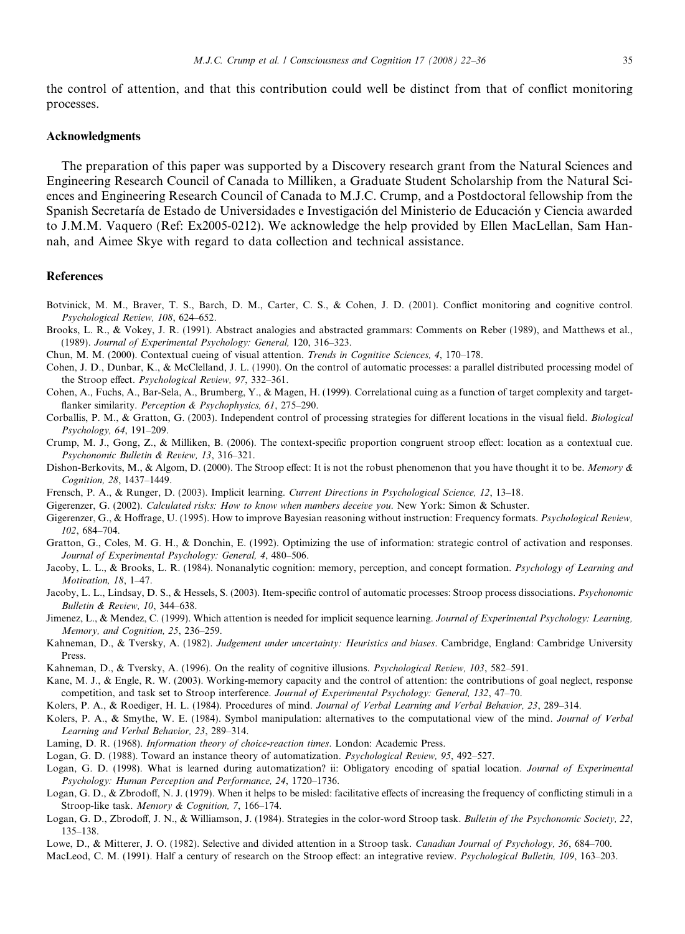the control of attention, and that this contribution could well be distinct from that of conflict monitoring processes.

#### Acknowledgments

The preparation of this paper was supported by a Discovery research grant from the Natural Sciences and Engineering Research Council of Canada to Milliken, a Graduate Student Scholarship from the Natural Sciences and Engineering Research Council of Canada to M.J.C. Crump, and a Postdoctoral fellowship from the Spanish Secretaría de Estado de Universidades e Investigación del Ministerio de Educación y Ciencia awarded to J.M.M. Vaquero (Ref: Ex2005-0212). We acknowledge the help provided by Ellen MacLellan, Sam Hannah, and Aimee Skye with regard to data collection and technical assistance.

#### References

- Botvinick, M. M., Braver, T. S., Barch, D. M., Carter, C. S., & Cohen, J. D. (2001). Conflict monitoring and cognitive control. Psychological Review, 108, 624–652.
- Brooks, L. R., & Vokey, J. R. (1991). Abstract analogies and abstracted grammars: Comments on Reber (1989), and Matthews et al., (1989). Journal of Experimental Psychology: General, 120, 316–323.
- Chun, M. M. (2000). Contextual cueing of visual attention. Trends in Cognitive Sciences, 4, 170–178.
- Cohen, J. D., Dunbar, K., & McClelland, J. L. (1990). On the control of automatic processes: a parallel distributed processing model of the Stroop effect. Psychological Review, 97, 332–361.
- Cohen, A., Fuchs, A., Bar-Sela, A., Brumberg, Y., & Magen, H. (1999). Correlational cuing as a function of target complexity and targetflanker similarity. Perception & Psychophysics, 61, 275-290.
- Corballis, P. M., & Gratton, G. (2003). Independent control of processing strategies for different locations in the visual field. Biological Psychology, 64, 191–209.
- Crump, M. J., Gong, Z., & Milliken, B. (2006). The context-specific proportion congruent stroop effect: location as a contextual cue. Psychonomic Bulletin & Review, 13, 316–321.
- Dishon-Berkovits, M., & Algom, D. (2000). The Stroop effect: It is not the robust phenomenon that you have thought it to be. Memory & Cognition, 28, 1437–1449.
- Frensch, P. A., & Runger, D. (2003). Implicit learning. Current Directions in Psychological Science, 12, 13–18.
- Gigerenzer, G. (2002). Calculated risks: How to know when numbers deceive you. New York: Simon & Schuster.
- Gigerenzer, G., & Hoffrage, U. (1995). How to improve Bayesian reasoning without instruction: Frequency formats. Psychological Review, 102, 684–704.
- Gratton, G., Coles, M. G. H., & Donchin, E. (1992). Optimizing the use of information: strategic control of activation and responses. Journal of Experimental Psychology: General, 4, 480–506.
- Jacoby, L. L., & Brooks, L. R. (1984). Nonanalytic cognition: memory, perception, and concept formation. Psychology of Learning and Motivation, 18, 1–47.
- Jacoby, L. L., Lindsay, D. S., & Hessels, S. (2003). Item-specific control of automatic processes: Stroop process dissociations. Psychonomic Bulletin & Review, 10, 344–638.
- Jimenez, L., & Mendez, C. (1999). Which attention is needed for implicit sequence learning. Journal of Experimental Psychology: Learning, Memory, and Cognition, 25, 236–259.
- Kahneman, D., & Tversky, A. (1982). Judgement under uncertainty: Heuristics and biases. Cambridge, England: Cambridge University Press.
- Kahneman, D., & Tversky, A. (1996). On the reality of cognitive illusions. Psychological Review, 103, 582–591.
- Kane, M. J., & Engle, R. W. (2003). Working-memory capacity and the control of attention: the contributions of goal neglect, response competition, and task set to Stroop interference. Journal of Experimental Psychology: General, 132, 47-70.
- Kolers, P. A., & Roediger, H. L. (1984). Procedures of mind. Journal of Verbal Learning and Verbal Behavior, 23, 289–314.
- Kolers, P. A., & Smythe, W. E. (1984). Symbol manipulation: alternatives to the computational view of the mind. Journal of Verbal Learning and Verbal Behavior, 23, 289–314.
- Laming, D. R. (1968). Information theory of choice-reaction times. London: Academic Press.
- Logan, G. D. (1988). Toward an instance theory of automatization. Psychological Review, 95, 492–527.
- Logan, G. D. (1998). What is learned during automatization? ii: Obligatory encoding of spatial location. Journal of Experimental Psychology: Human Perception and Performance, 24, 1720–1736.
- Logan, G. D., & Zbrodoff, N. J. (1979). When it helps to be misled: facilitative effects of increasing the frequency of conflicting stimuli in a Stroop-like task. Memory & Cognition, 7, 166–174.
- Logan, G. D., Zbrodoff, J. N., & Williamson, J. (1984). Strategies in the color-word Stroop task. Bulletin of the Psychonomic Society, 22, 135–138.
- Lowe, D., & Mitterer, J. O. (1982). Selective and divided attention in a Stroop task. Canadian Journal of Psychology, 36, 684–700.
- <span id="page-13-0"></span>MacLeod, C. M. (1991). Half a century of research on the Stroop effect: an integrative review. Psychological Bulletin, 109, 163–203.